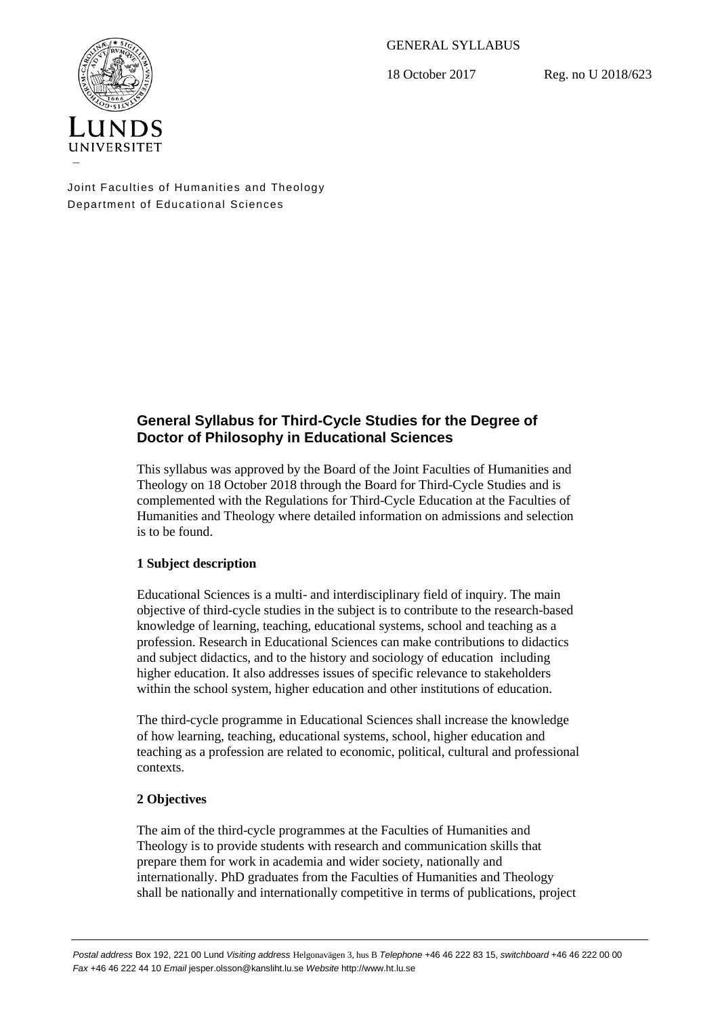GENERAL SYLLABUS

18 October 2017 Reg. no U 2018/623



Joint Faculties of Humanities and Theology Department of Educational Sciences

# **General Syllabus for Third-Cycle Studies for the Degree of Doctor of Philosophy in Educational Sciences**

This syllabus was approved by the Board of the Joint Faculties of Humanities and Theology on 18 October 2018 through the Board for Third-Cycle Studies and is complemented with the Regulations for Third-Cycle Education at the Faculties of Humanities and Theology where detailed information on admissions and selection is to be found.

# **1 Subject description**

Educational Sciences is a multi- and interdisciplinary field of inquiry. The main objective of third-cycle studies in the subject is to contribute to the research-based knowledge of learning, teaching, educational systems, school and teaching as a profession. Research in Educational Sciences can make contributions to didactics and subject didactics, and to the history and sociology of education including higher education. It also addresses issues of specific relevance to stakeholders within the school system, higher education and other institutions of education.

The third-cycle programme in Educational Sciences shall increase the knowledge of how learning, teaching, educational systems, school, higher education and teaching as a profession are related to economic, political, cultural and professional contexts.

# **2 Objectives**

The aim of the third-cycle programmes at the Faculties of Humanities and Theology is to provide students with research and communication skills that prepare them for work in academia and wider society, nationally and internationally. PhD graduates from the Faculties of Humanities and Theology shall be nationally and internationally competitive in terms of publications, project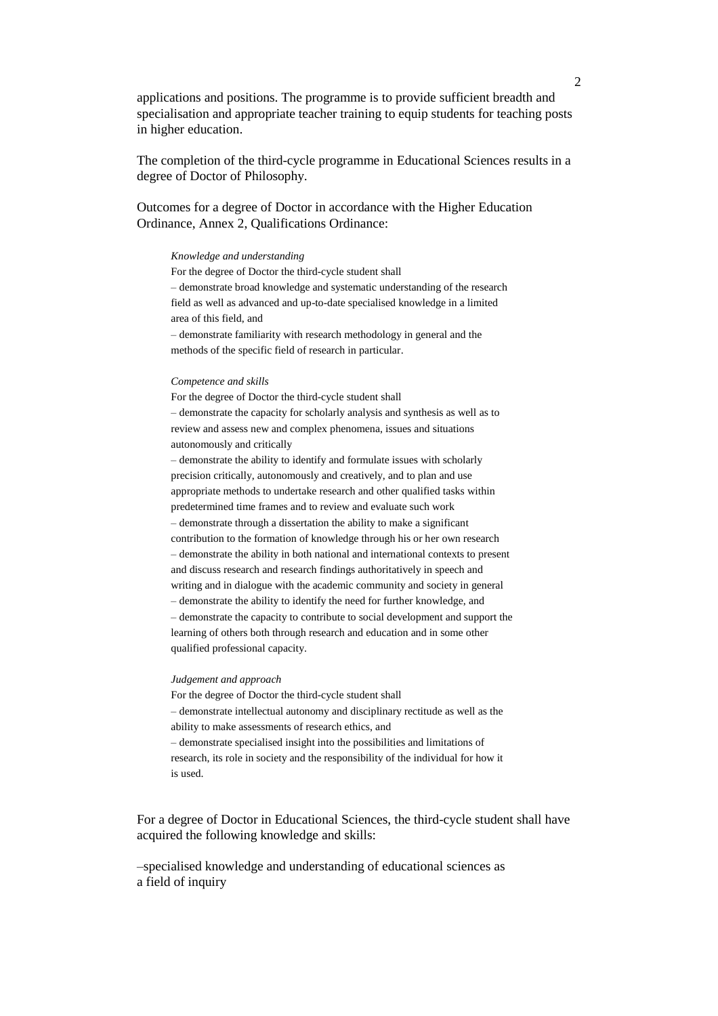applications and positions. The programme is to provide sufficient breadth and specialisation and appropriate teacher training to equip students for teaching posts in higher education.

The completion of the third-cycle programme in Educational Sciences results in a degree of Doctor of Philosophy.

Outcomes for a degree of Doctor in accordance with the Higher Education Ordinance, Annex 2, Qualifications Ordinance:

### *Knowledge and understanding*

For the degree of Doctor the third-cycle student shall – demonstrate broad knowledge and systematic understanding of the research field as well as advanced and up-to-date specialised knowledge in a limited area of this field, and

– demonstrate familiarity with research methodology in general and the methods of the specific field of research in particular.

#### *Competence and skills*

For the degree of Doctor the third-cycle student shall – demonstrate the capacity for scholarly analysis and synthesis as well as to review and assess new and complex phenomena, issues and situations autonomously and critically

– demonstrate the ability to identify and formulate issues with scholarly precision critically, autonomously and creatively, and to plan and use appropriate methods to undertake research and other qualified tasks within predetermined time frames and to review and evaluate such work – demonstrate through a dissertation the ability to make a significant contribution to the formation of knowledge through his or her own research – demonstrate the ability in both national and international contexts to present and discuss research and research findings authoritatively in speech and writing and in dialogue with the academic community and society in general – demonstrate the ability to identify the need for further knowledge, and – demonstrate the capacity to contribute to social development and support the learning of others both through research and education and in some other qualified professional capacity.

#### *Judgement and approach*

For the degree of Doctor the third-cycle student shall – demonstrate intellectual autonomy and disciplinary rectitude as well as the ability to make assessments of research ethics, and – demonstrate specialised insight into the possibilities and limitations of research, its role in society and the responsibility of the individual for how it is used.

For a degree of Doctor in Educational Sciences, the third-cycle student shall have acquired the following knowledge and skills:

–specialised knowledge and understanding of educational sciences as a field of inquiry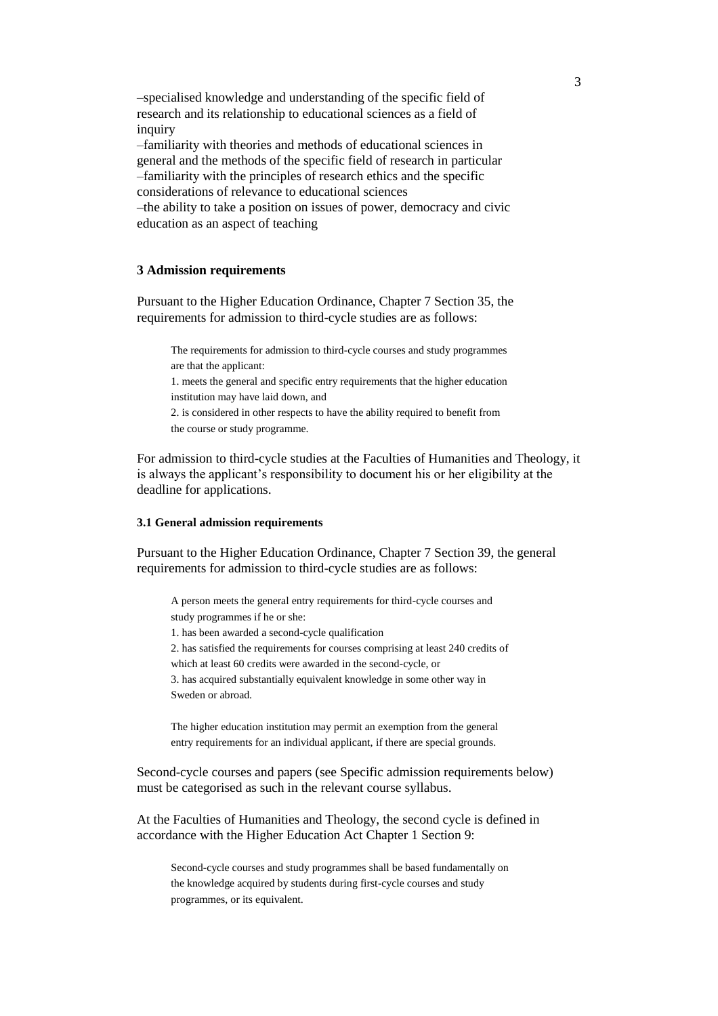–specialised knowledge and understanding of the specific field of research and its relationship to educational sciences as a field of inquiry

–familiarity with theories and methods of educational sciences in general and the methods of the specific field of research in particular –familiarity with the principles of research ethics and the specific considerations of relevance to educational sciences

–the ability to take a position on issues of power, democracy and civic education as an aspect of teaching

## **3 Admission requirements**

Pursuant to the Higher Education Ordinance, Chapter 7 Section 35, the requirements for admission to third-cycle studies are as follows:

The requirements for admission to third-cycle courses and study programmes are that the applicant:

1. meets the general and specific entry requirements that the higher education institution may have laid down, and

2. is considered in other respects to have the ability required to benefit from the course or study programme.

For admission to third-cycle studies at the Faculties of Humanities and Theology, it is always the applicant's responsibility to document his or her eligibility at the deadline for applications.

## **3.1 General admission requirements**

Pursuant to the Higher Education Ordinance, Chapter 7 Section 39, the general requirements for admission to third-cycle studies are as follows:

A person meets the general entry requirements for third-cycle courses and study programmes if he or she:

1. has been awarded a second-cycle qualification

2. has satisfied the requirements for courses comprising at least 240 credits of

which at least 60 credits were awarded in the second-cycle, or

3. has acquired substantially equivalent knowledge in some other way in Sweden or abroad.

The higher education institution may permit an exemption from the general entry requirements for an individual applicant, if there are special grounds.

Second-cycle courses and papers (see Specific admission requirements below) must be categorised as such in the relevant course syllabus.

At the Faculties of Humanities and Theology, the second cycle is defined in accordance with the Higher Education Act Chapter 1 Section 9:

Second-cycle courses and study programmes shall be based fundamentally on the knowledge acquired by students during first-cycle courses and study programmes, or its equivalent.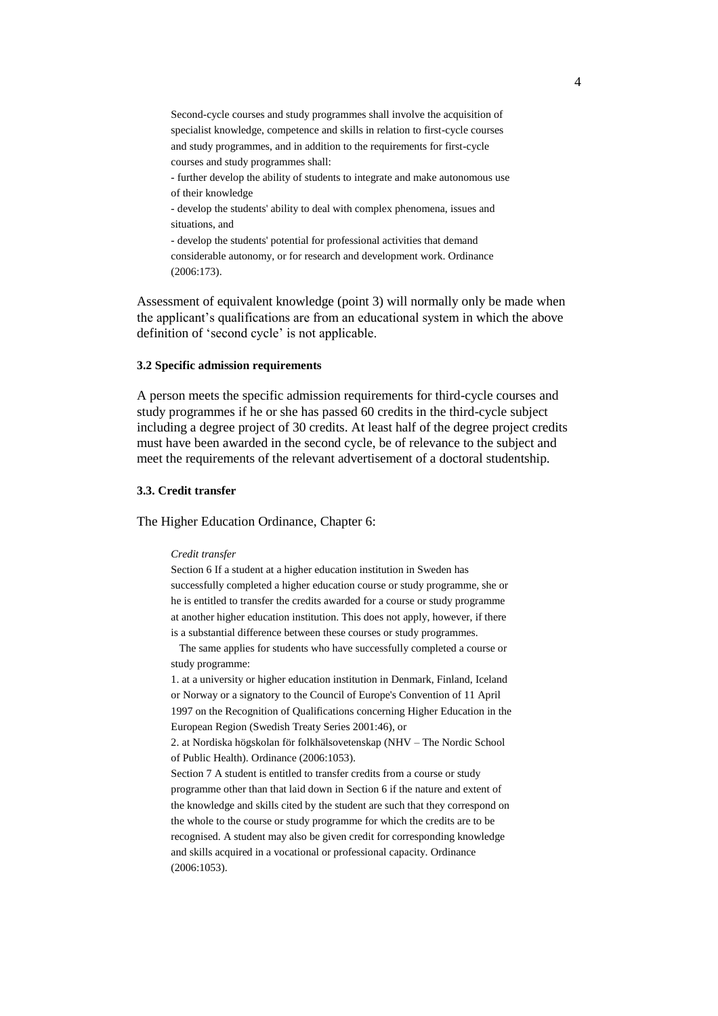Second-cycle courses and study programmes shall involve the acquisition of specialist knowledge, competence and skills in relation to first-cycle courses and study programmes, and in addition to the requirements for first-cycle courses and study programmes shall:

- further develop the ability of students to integrate and make autonomous use of their knowledge

- develop the students' ability to deal with complex phenomena, issues and situations, and

- develop the students' potential for professional activities that demand considerable autonomy, or for research and development work. Ordinance (2006:173).

Assessment of equivalent knowledge (point 3) will normally only be made when the applicant's qualifications are from an educational system in which the above definition of 'second cycle' is not applicable.

#### **3.2 Specific admission requirements**

A person meets the specific admission requirements for third-cycle courses and study programmes if he or she has passed 60 credits in the third-cycle subject including a degree project of 30 credits. At least half of the degree project credits must have been awarded in the second cycle, be of relevance to the subject and meet the requirements of the relevant advertisement of a doctoral studentship.

#### **3.3. Credit transfer**

The Higher Education Ordinance, Chapter 6:

### *Credit transfer*

Section 6 If a student at a higher education institution in Sweden has successfully completed a higher education course or study programme, she or he is entitled to transfer the credits awarded for a course or study programme at another higher education institution. This does not apply, however, if there is a substantial difference between these courses or study programmes.

 The same applies for students who have successfully completed a course or study programme:

1. at a university or higher education institution in Denmark, Finland, Iceland or Norway or a signatory to the Council of Europe's Convention of 11 April 1997 on the Recognition of Qualifications concerning Higher Education in the European Region (Swedish Treaty Series 2001:46), or

2. at Nordiska högskolan för folkhälsovetenskap (NHV – The Nordic School of Public Health). Ordinance (2006:1053).

Section 7 A student is entitled to transfer credits from a course or study programme other than that laid down in Section 6 if the nature and extent of the knowledge and skills cited by the student are such that they correspond on the whole to the course or study programme for which the credits are to be recognised. A student may also be given credit for corresponding knowledge and skills acquired in a vocational or professional capacity. Ordinance (2006:1053).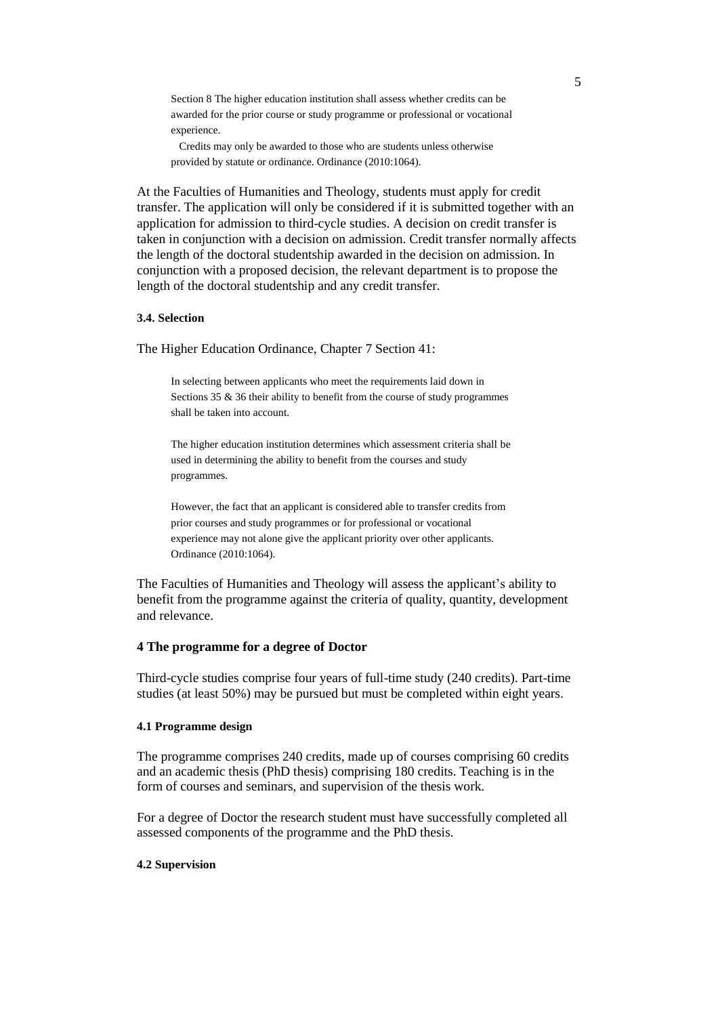Section 8 The higher education institution shall assess whether credits can be awarded for the prior course or study programme or professional or vocational experience.

 Credits may only be awarded to those who are students unless otherwise provided by statute or ordinance. Ordinance (2010:1064).

At the Faculties of Humanities and Theology, students must apply for credit transfer. The application will only be considered if it is submitted together with an application for admission to third-cycle studies. A decision on credit transfer is taken in conjunction with a decision on admission. Credit transfer normally affects the length of the doctoral studentship awarded in the decision on admission. In conjunction with a proposed decision, the relevant department is to propose the length of the doctoral studentship and any credit transfer.

### **3.4. Selection**

The Higher Education Ordinance, Chapter 7 Section 41:

In selecting between applicants who meet the requirements laid down in Sections 35 & 36 their ability to benefit from the course of study programmes shall be taken into account.

The higher education institution determines which assessment criteria shall be used in determining the ability to benefit from the courses and study programmes.

However, the fact that an applicant is considered able to transfer credits from prior courses and study programmes or for professional or vocational experience may not alone give the applicant priority over other applicants. Ordinance (2010:1064).

The Faculties of Humanities and Theology will assess the applicant's ability to benefit from the programme against the criteria of quality, quantity, development and relevance.

## **4 The programme for a degree of Doctor**

Third-cycle studies comprise four years of full-time study (240 credits). Part-time studies (at least 50%) may be pursued but must be completed within eight years.

### **4.1 Programme design**

The programme comprises 240 credits, made up of courses comprising 60 credits and an academic thesis (PhD thesis) comprising 180 credits. Teaching is in the form of courses and seminars, and supervision of the thesis work.

For a degree of Doctor the research student must have successfully completed all assessed components of the programme and the PhD thesis.

## **4.2 Supervision**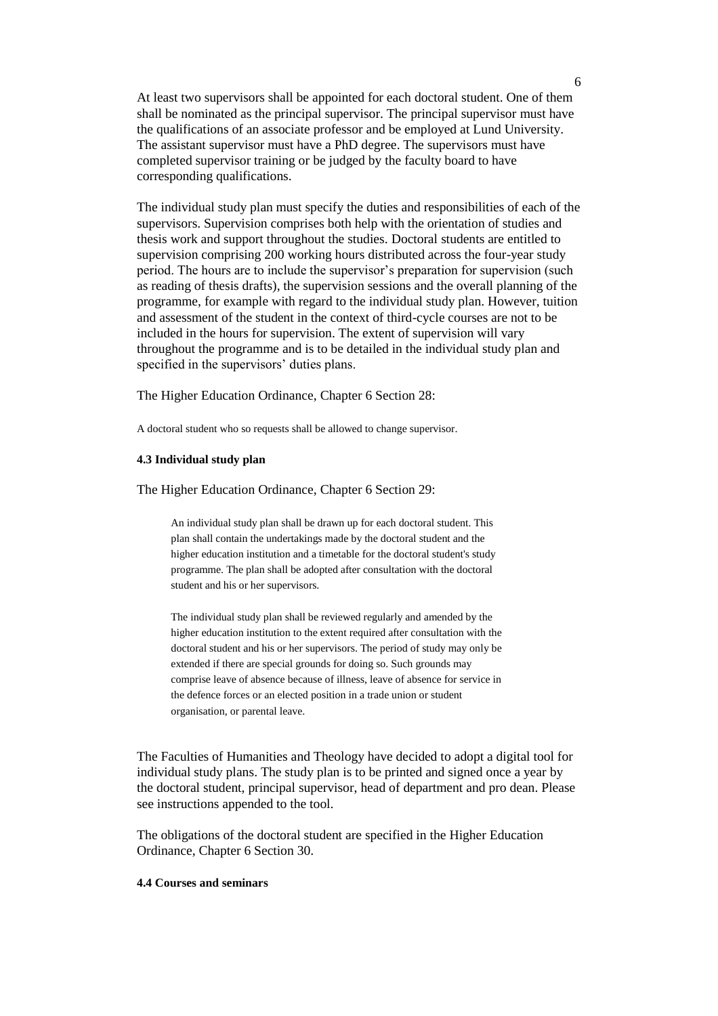At least two supervisors shall be appointed for each doctoral student. One of them shall be nominated as the principal supervisor. The principal supervisor must have the qualifications of an associate professor and be employed at Lund University. The assistant supervisor must have a PhD degree. The supervisors must have completed supervisor training or be judged by the faculty board to have corresponding qualifications.

The individual study plan must specify the duties and responsibilities of each of the supervisors. Supervision comprises both help with the orientation of studies and thesis work and support throughout the studies. Doctoral students are entitled to supervision comprising 200 working hours distributed across the four-year study period. The hours are to include the supervisor's preparation for supervision (such as reading of thesis drafts), the supervision sessions and the overall planning of the programme, for example with regard to the individual study plan. However, tuition and assessment of the student in the context of third-cycle courses are not to be included in the hours for supervision. The extent of supervision will vary throughout the programme and is to be detailed in the individual study plan and specified in the supervisors' duties plans.

The Higher Education Ordinance, Chapter 6 Section 28:

A doctoral student who so requests shall be allowed to change supervisor.

#### **4.3 Individual study plan**

The Higher Education Ordinance, Chapter 6 Section 29:

An individual study plan shall be drawn up for each doctoral student. This plan shall contain the undertakings made by the doctoral student and the higher education institution and a timetable for the doctoral student's study programme. The plan shall be adopted after consultation with the doctoral student and his or her supervisors.

The individual study plan shall be reviewed regularly and amended by the higher education institution to the extent required after consultation with the doctoral student and his or her supervisors. The period of study may only be extended if there are special grounds for doing so. Such grounds may comprise leave of absence because of illness, leave of absence for service in the defence forces or an elected position in a trade union or student organisation, or parental leave.

The Faculties of Humanities and Theology have decided to adopt a digital tool for individual study plans. The study plan is to be printed and signed once a year by the doctoral student, principal supervisor, head of department and pro dean. Please see instructions appended to the tool.

The obligations of the doctoral student are specified in the Higher Education Ordinance, Chapter 6 Section 30.

## **4.4 Courses and seminars**

6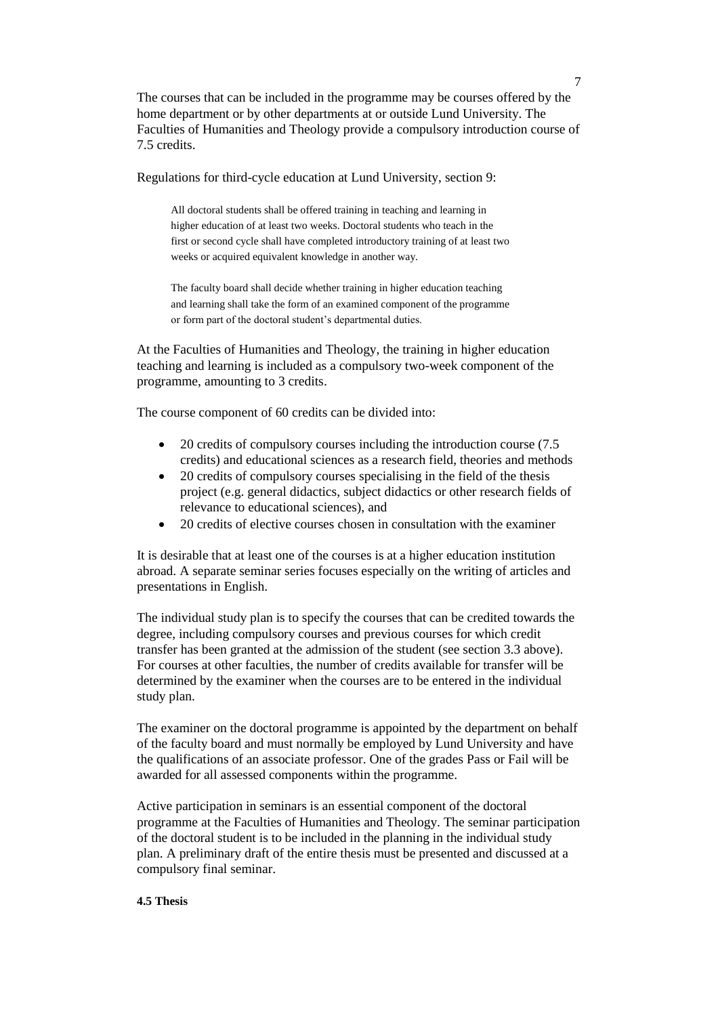The courses that can be included in the programme may be courses offered by the home department or by other departments at or outside Lund University. The Faculties of Humanities and Theology provide a compulsory introduction course of 7.5 credits.

Regulations for third-cycle education at Lund University, section 9:

All doctoral students shall be offered training in teaching and learning in higher education of at least two weeks. Doctoral students who teach in the first or second cycle shall have completed introductory training of at least two weeks or acquired equivalent knowledge in another way.

The faculty board shall decide whether training in higher education teaching and learning shall take the form of an examined component of the programme or form part of the doctoral student's departmental duties.

At the Faculties of Humanities and Theology, the training in higher education teaching and learning is included as a compulsory two-week component of the programme, amounting to 3 credits.

The course component of 60 credits can be divided into:

- 20 credits of compulsory courses including the introduction course (7.5) credits) and educational sciences as a research field, theories and methods
- 20 credits of compulsory courses specialising in the field of the thesis project (e.g. general didactics, subject didactics or other research fields of relevance to educational sciences), and
- 20 credits of elective courses chosen in consultation with the examiner

It is desirable that at least one of the courses is at a higher education institution abroad. A separate seminar series focuses especially on the writing of articles and presentations in English.

The individual study plan is to specify the courses that can be credited towards the degree, including compulsory courses and previous courses for which credit transfer has been granted at the admission of the student (see section 3.3 above). For courses at other faculties, the number of credits available for transfer will be determined by the examiner when the courses are to be entered in the individual study plan.

The examiner on the doctoral programme is appointed by the department on behalf of the faculty board and must normally be employed by Lund University and have the qualifications of an associate professor. One of the grades Pass or Fail will be awarded for all assessed components within the programme.

Active participation in seminars is an essential component of the doctoral programme at the Faculties of Humanities and Theology. The seminar participation of the doctoral student is to be included in the planning in the individual study plan. A preliminary draft of the entire thesis must be presented and discussed at a compulsory final seminar.

## **4.5 Thesis**